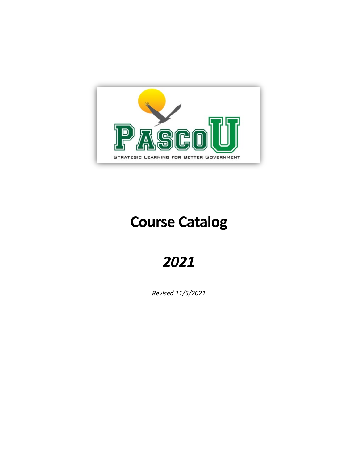

# **Course Catalog**

# *2021*

*Revised 11/5/2021*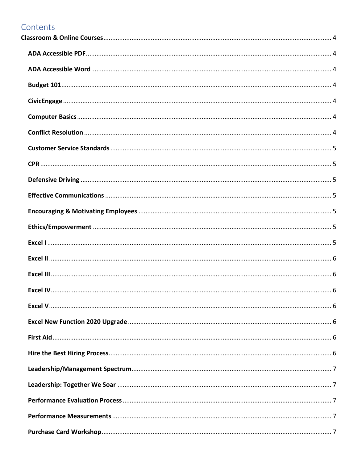## Contents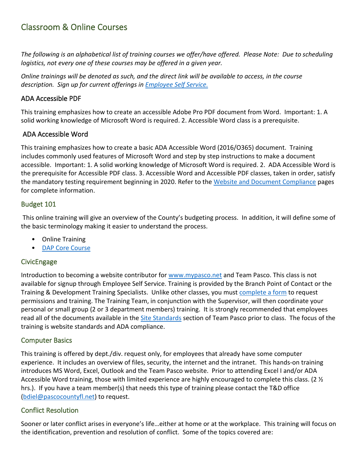## <span id="page-3-0"></span>Classroom & Online Courses

*The following is an alphabetical list of training courses we offer/have offered. Please Note: Due to scheduling logistics, not every one of these courses may be offered in a given year.*

*Online trainings will be denoted as such, and the direct link will be available to access, in the course description. Sign up for current offerings in [Employee Self Service.](https://selfserv18.pascocountyfl.net/mss/login.aspx)*

#### <span id="page-3-1"></span>ADA Accessible PDF

This training emphasizes how to create an accessible Adobe Pro PDF document from Word. Important: 1. A solid working knowledge of Microsoft Word is required. 2. Accessible Word class is a prerequisite.

#### <span id="page-3-2"></span>ADA Accessible Word

This training emphasizes how to create a basic ADA Accessible Word (2016/O365) document. Training includes commonly used features of Microsoft Word and step by step instructions to make a document accessible. Important: 1. A solid working knowledge of Microsoft Word is required. 2. ADA Accessible Word is the prerequisite for Accessible PDF class. 3. Accessible Word and Accessible PDF classes, taken in order, satisfy the mandatory testing requirement beginning in 2020. Refer to the [Website and Document Compliance](https://teampasco.pascocountyfl.net/1079/Website-and-Document-Compliance) pages for complete information.

#### <span id="page-3-3"></span>Budget 101

This online training will give an overview of the County's budgeting process. In addition, it will define some of the basic terminology making it easier to understand the process.

- Online Training
- [DAP Core Course](https://teampasco.pascocountyfl.net/698/Degree-Alternative-Program)

#### <span id="page-3-4"></span>**CivicEngage**

Introduction to becoming a website contributor for [www.mypasco.net](https://www.pascocountyfl.net/) and Team Pasco. This class is not available for signup through Employee Self Service. Training is provided by the Branch Point of Contact or the Training & Development Training Specialists. Unlike other classes, you must [complete a form](https://teampasco.pascocountyfl.net/FormCenter/Training-and-Development-Forms-2/Request-Permissions-to-CivicEngage-124) to request permissions and training. The Training Team, in conjunction with the Supervisor, will then coordinate your personal or small group (2 or 3 department members) training. It is strongly recommended that employees read all of the documents available in the [Site Standards](https://teampasco.pascocountyfl.net/1079/Website-Document-Compliance?) section of Team Pasco prior to class. The focus of the training is website standards and ADA compliance.

#### <span id="page-3-5"></span>Computer Basics

This training is offered by dept./div. request only, for employees that already have some computer experience. It includes an overview of files, security, the internet and the intranet. This hands-on training introduces MS Word, Excel, Outlook and the Team Pasco website. Prior to attending Excel I and/or ADA Accessible Word training, those with limited experience are highly encouraged to complete this class. (2 ½ hrs.). If you have a team member(s) that needs this type of training please contact the T&D office (bdiel@pascocountyfl.net) to request.

#### <span id="page-3-6"></span>Conflict Resolution

Sooner or later conflict arises in everyone's life…either at home or at the workplace. This training will focus on the identification, prevention and resolution of conflict. Some of the topics covered are: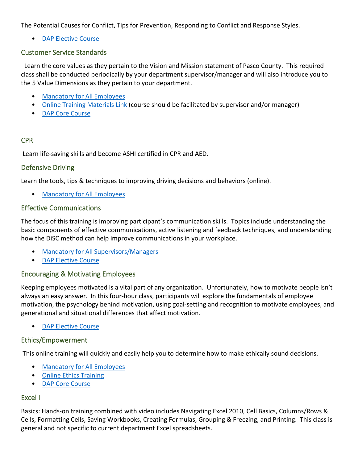The Potential Causes for Conflict, Tips for Prevention, Responding to Conflict and Response Styles.

[DAP Elective Course](https://teampasco.pascocountyfl.net/698/Degree-Alternative-Program)

#### <span id="page-4-0"></span>Customer Service Standards

 Learn the core values as they pertain to the Vision and Mission statement of Pasco County. This required class shall be conducted periodically by your department supervisor/manager and will also introduce you to the 5 Value Dimensions as they pertain to your department.

- [Mandatory for All Employees](https://teampasco.pascocountyfl.net/311/Training-Classes)
- [Online Training Materials Link](https://teampasco.pascocountyfl.net/323/County-Policy-Practice) (course should be facilitated by supervisor and/or manager)
- [DAP Core Course](https://teampasco.pascocountyfl.net/698/Degree-Alternative-Program)

#### <span id="page-4-1"></span>CPR

Learn life-saving skills and become ASHI certified in CPR and AED.

#### <span id="page-4-2"></span>Defensive Driving

Learn the tools, tips & techniques to improving driving decisions and behaviors (online).

• [Mandatory for All Employees](https://teampasco.pascocountyfl.net/311/Training-Classes)

#### <span id="page-4-3"></span>Effective Communications

The focus of this training is improving participant's communication skills. Topics include understanding the basic components of effective communications, active listening and feedback techniques, and understanding how the DiSC method can help improve communications in your workplace.

- [Mandatory for All Supervisors/Managers](https://teampasco.pascocountyfl.net/311/Training-Classes)
- [DAP Elective Course](https://teampasco.pascocountyfl.net/698/Degree-Alternative-Program)

#### <span id="page-4-4"></span>Encouraging & Motivating Employees

Keeping employees motivated is a vital part of any organization. Unfortunately, how to motivate people isn't always an easy answer. In this four-hour class, participants will explore the fundamentals of employee motivation, the psychology behind motivation, using goal-setting and recognition to motivate employees, and generational and situational differences that affect motivation.

[DAP Elective Course](https://teampasco.pascocountyfl.net/698/Degree-Alternative-Program)

#### <span id="page-4-5"></span>Ethics/Empowerment

This online training will quickly and easily help you to determine how to make ethically sound decisions.

- [Mandatory for All Employees](https://teampasco.pascocountyfl.net/311/Training-Classes)
- [Online Ethics Training](https://teampasco.pascocountyfl.net/571/EthicsEmpowerment-Program?)
- [DAP Core Course](https://teampasco.pascocountyfl.net/698/Degree-Alternative-Program)

#### <span id="page-4-6"></span>Excel I

Basics: Hands-on training combined with video includes Navigating Excel 2010, Cell Basics, Columns/Rows & Cells, Formatting Cells, Saving Workbooks, Creating Formulas, Grouping & Freezing, and Printing. This class is general and not specific to current department Excel spreadsheets.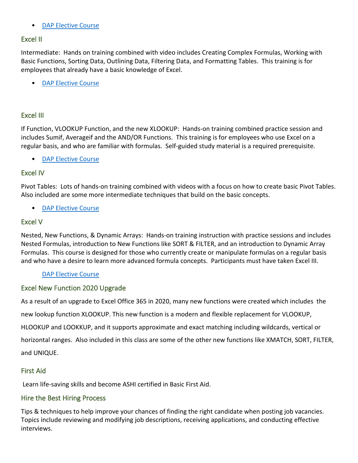#### • [DAP Elective Course](https://teampasco.pascocountyfl.net/698/Degree-Alternative-Program)

#### <span id="page-5-0"></span>Excel II

Intermediate: Hands on training combined with video includes Creating Complex Formulas, Working with Basic Functions, Sorting Data, Outlining Data, Filtering Data, and Formatting Tables. This training is for employees that already have a basic knowledge of Excel.

[DAP Elective Course](https://teampasco.pascocountyfl.net/698/Degree-Alternative-Program)

#### <span id="page-5-1"></span>Excel III

If Function, VLOOKUP Function, and the new XLOOKUP: Hands-on training combined practice session and includes Sumif, Averageif and the AND/OR Functions. This training is for employees who use Excel on a regular basis, and who are familiar with formulas. Self-guided study material is a required prerequisite.

[DAP Elective Course](https://teampasco.pascocountyfl.net/698/Degree-Alternative-Program)

#### <span id="page-5-2"></span>Excel IV

Pivot Tables: Lots of hands-on training combined with videos with a focus on how to create basic Pivot Tables. Also included are some more intermediate techniques that build on the basic concepts.

[DAP Elective Course](https://teampasco.pascocountyfl.net/698/Degree-Alternative-Program)

#### <span id="page-5-3"></span>Excel V

Nested, New Functions, & Dynamic Arrays: Hands-on training instruction with practice sessions and includes Nested Formulas, introduction to New Functions like SORT & FILTER, and an introduction to Dynamic Array Formulas. This course is designed for those who currently create or manipulate formulas on a regular basis and who have a desire to learn more advanced formula concepts. Participants must have taken Excel III.

#### [DAP Elective Course](https://teampasco.pascocountyfl.net/698/Degree-Alternative-Program)

#### <span id="page-5-4"></span>Excel New Function 2020 Upgrade

As a result of an upgrade to Excel Office 365 in 2020, many new functions were created which includes the new lookup function XLOOKUP. This new function is a modern and flexible replacement for VLOOKUP, HLOOKUP and LOOKKUP, and it supports approximate and exact matching including wildcards, vertical or horizontal ranges. Also included in this class are some of the other new functions like XMATCH, SORT, FILTER, and UNIQUE.

## <span id="page-5-5"></span>First Aid

Learn life-saving skills and become ASHI certified in Basic First Aid.

#### <span id="page-5-6"></span>Hire the Best Hiring Process

Tips & techniques to help improve your chances of finding the right candidate when posting job vacancies. Topics include reviewing and modifying job descriptions, receiving applications, and conducting effective interviews.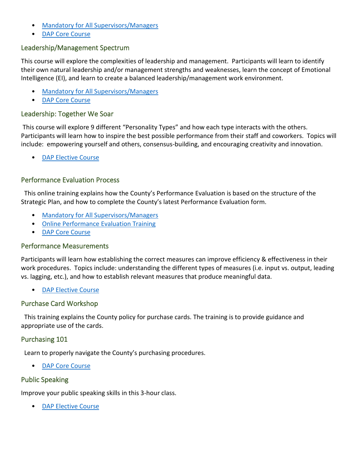- [Mandatory for All Supervisors/Managers](https://teampasco.pascocountyfl.net/311/Training-Classes)
- [DAP Core Course](https://teampasco.pascocountyfl.net/698/Degree-Alternative-Program)

#### <span id="page-6-0"></span>Leadership/Management Spectrum

This course will explore the complexities of leadership and management. Participants will learn to identify their own natural leadership and/or management strengths and weaknesses, learn the concept of Emotional Intelligence (EI), and learn to create a balanced leadership/management work environment.

- [Mandatory for All Supervisors/Managers](https://teampasco.pascocountyfl.net/311/Training-Classes)
- [DAP Core Course](https://teampasco.pascocountyfl.net/698/Degree-Alternative-Program)

#### <span id="page-6-1"></span>Leadership: Together We Soar

This course will explore 9 different "Personality Types" and how each type interacts with the others. Participants will learn how to inspire the best possible performance from their staff and coworkers. Topics will include: empowering yourself and others, consensus-building, and encouraging creativity and innovation.

• [DAP Elective Course](https://teampasco.pascocountyfl.net/698/Degree-Alternative-Program)

#### <span id="page-6-2"></span>Performance Evaluation Process

 This online training explains how the County's Performance Evaluation is based on the structure of the Strategic Plan, and how to complete the County's latest Performance Evaluation form.

- [Mandatory for All Supervisors/Managers](https://teampasco.pascocountyfl.net/311/Training-Classes)
- [Online Performance Evaluation Training](https://teampasco.pascocountyfl.net/535/Performance-Eval-Process?)
- [DAP Core Course](https://teampasco.pascocountyfl.net/698/Degree-Alternative-Program)

#### <span id="page-6-3"></span>Performance Measurements

Participants will learn how establishing the correct measures can improve efficiency & effectiveness in their work procedures. Topics include: understanding the different types of measures (i.e. input vs. output, leading vs. lagging, etc.), and how to establish relevant measures that produce meaningful data.

• [DAP Elective Course](https://teampasco.pascocountyfl.net/698/Degree-Alternative-Program)

#### <span id="page-6-4"></span>Purchase Card Workshop

 This training explains the County policy for purchase cards. The training is to provide guidance and appropriate use of the cards.

#### <span id="page-6-5"></span>Purchasing 101

Learn to properly navigate the County's purchasing procedures.

• [DAP Core Course](https://teampasco.pascocountyfl.net/698/Degree-Alternative-Program)

#### <span id="page-6-6"></span>Public Speaking

Improve your public speaking skills in this 3-hour class.

• [DAP Elective Course](https://teampasco.pascocountyfl.net/698/Degree-Alternative-Program)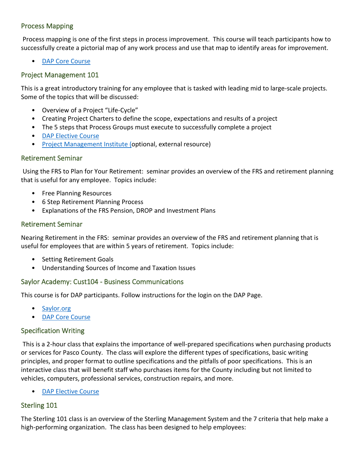#### <span id="page-7-0"></span>Process Mapping

Process mapping is one of the first steps in process improvement. This course will teach participants how to successfully create a pictorial map of any work process and use that map to identify areas for improvement.

• [DAP Core Course](https://teampasco.pascocountyfl.net/698/Degree-Alternative-Program)

#### <span id="page-7-1"></span>Project Management 101

This is a great introductory training for any employee that is tasked with leading mid to large-scale projects. Some of the topics that will be discussed:

- Overview of a Project "Life-Cycle"
- Creating Project Charters to define the scope, expectations and results of a project
- The 5 steps that Process Groups must execute to successfully complete a project
- [DAP Elective Course](https://teampasco.pascocountyfl.net/698/Degree-Alternative-Program)
- [Project Management Institute \(o](https://www.pmi.org/)ptional, external resource)

#### <span id="page-7-2"></span>Retirement Seminar

Using the FRS to Plan for Your Retirement: seminar provides an overview of the FRS and retirement planning that is useful for any employee. Topics include:

- Free Planning Resources
- 6 Step Retirement Planning Process
- Explanations of the FRS Pension, DROP and Investment Plans

#### <span id="page-7-3"></span>Retirement Seminar

Nearing Retirement in the FRS: seminar provides an overview of the FRS and retirement planning that is useful for employees that are within 5 years of retirement. Topics include:

- Setting Retirement Goals
- Understanding Sources of Income and Taxation Issues

#### <span id="page-7-4"></span>Saylor Academy: Cust104 - Business Communications

This course is for DAP participants. Follow instructions for the login on the DAP Page.

- [Saylor.org](https://www.saylor.org/)
- **[DAP Core Course](https://teampasco.pascocountyfl.net/698/Degree-Alternative-Program)**

#### <span id="page-7-5"></span>Specification Writing

This is a 2-hour class that explains the importance of well-prepared specifications when purchasing products or services for Pasco County. The class will explore the different types of specifications, basic writing principles, and proper format to outline specifications and the pitfalls of poor specifications. This is an interactive class that will benefit staff who purchases items for the County including but not limited to vehicles, computers, professional services, construction repairs, and more.

[DAP Elective Course](https://teampasco.pascocountyfl.net/698/Degree-Alternative-Program)

#### <span id="page-7-6"></span>Sterling 101

The Sterling 101 class is an overview of the Sterling Management System and the 7 criteria that help make a high-performing organization. The class has been designed to help employees: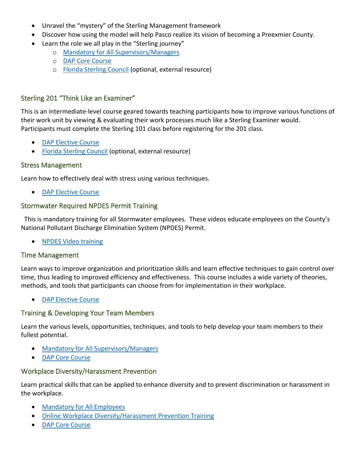- Unravel the "mystery" of the Sterling Management framework
- Discover how using the model will help Pasco realize its vision of becoming a Preexmier County.
- Learn the role we all play in the "Sterling journey"
	- o [Mandatory for All Supervisors/Managers](https://teampasco.pascocountyfl.net/311/Training-Classes)
	- o [DAP Core Course](https://teampasco.pascocountyfl.net/698/Degree-Alternative-Program)
	- o [Florida Sterling Council](https://www.floridasterling.com/) (optional, external resource)

#### <span id="page-8-0"></span>Sterling 201 "Think Like an Examiner"

This is an intermediate-level course geared towards teaching participants how to improve various functions of their work unit by viewing & evaluating their work processes much like a Sterling Examiner would. Participants must complete the Sterling 101 class before registering for the 201 class.

- [DAP Elective Course](https://teampasco.pascocountyfl.net/698/Degree-Alternative-Program)
- [Florida Sterling Council](https://www.floridasterling.com/) (optional, external resource)

#### <span id="page-8-1"></span>Stress Management

Learn how to effectively deal with stress using various techniques.

• [DAP Elective Course](https://teampasco.pascocountyfl.net/698/Degree-Alternative-Program)

#### <span id="page-8-2"></span>Stormwater Required NPDES Permit Training

 This is mandatory training for all Stormwater employees. These videos educate employees on the County's National Pollutant Discharge Elimination System (NPDES) Permit.

• [NPDES Video training](https://www.pascocountyfl.net/2296/Training-for-NPDES)

#### <span id="page-8-3"></span>Time Management

Learn ways to improve organization and prioritization skills and learn effective techniques to gain control over time, thus leading to improved efficiency and effectiveness. This course includes a wide variety of theories, methods, and tools that participants can choose from for implementation in their workplace.

• [DAP Elective Course](https://teampasco.pascocountyfl.net/698/Degree-Alternative-Program)

#### <span id="page-8-4"></span>Training & Developing Your Team Members

Learn the various levels, opportunities, techniques, and tools to help develop your team members to their fullest potential.

- [Mandatory for All Supervisors/Managers](https://teampasco.pascocountyfl.net/311/Training-Classes)
- [DAP Core Course](https://teampasco.pascocountyfl.net/698/Degree-Alternative-Program)

#### <span id="page-8-5"></span>Workplace Diversity/Harassment Prevention

Learn practical skills that can be applied to enhance diversity and to prevent discrimination or harassment in the workplace.

- [Mandatory for All Employees](https://teampasco.pascocountyfl.net/311/Training-Classes)
- [Online Workplace Diversity/Harassment Prevention Training](https://teampasco.pascocountyfl.net/966/Workplace-Diversity-and-Harassment-Preve?)
- [DAP Core Course](https://teampasco.pascocountyfl.net/698/Degree-Alternative-Program)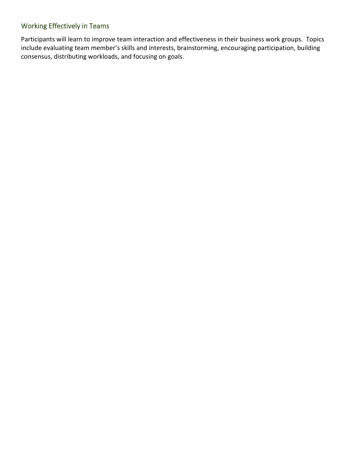#### <span id="page-9-0"></span>Working Effectively in Teams

Participants will learn to improve team interaction and effectiveness in their business work groups. Topics include evaluating team member's skills and interests, brainstorming, encouraging participation, building consensus, distributing workloads, and focusing on goals.